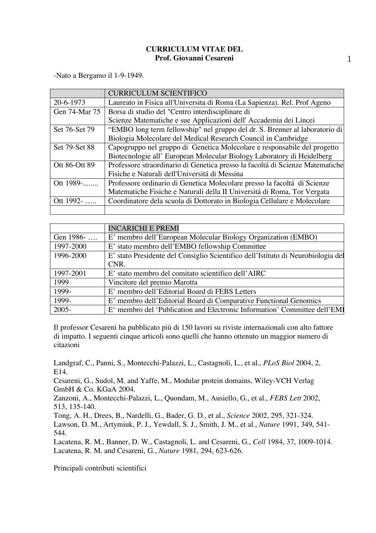## **CURRICULUM VITAE DEL Prof. Giovanni Cesareni**

-Nato a Bergamo il 1-9-1949.

|               | <b>CURRICULUM SCIENTIFICO</b>                                                 |
|---------------|-------------------------------------------------------------------------------|
| 20-6-1973     | Laureato in Fisica all'Universita di Roma (La Sapienza). Rel. Prof Ageno      |
| Gen 74-Mar 75 | Borsa di studio del "Centro interdisciplinare di                              |
|               | Scienze Matematiche e sue Applicazioni dell' Accademia dei Lincei             |
| Set 76-Set 79 | "EMBO long term fellowship" nel gruppo del dr. S. Brenner al laboratorio di   |
|               | Biologia Molecolare del Medical Research Council in Cambridge                 |
| Set 79-Set 88 | Capogruppo nel gruppo di Genetica Molecolare e responsabile del progetto      |
|               | Biotecnologie all' European Molecular Biology Laboratory di Heidelberg        |
| Ott 86-Ott 89 | Professore straordinario di Genetica presso la facoltá di Scienze Matematiche |
|               | Fisiche e Naturali dell'Universitá di Messina                                 |
| Ott 1989-     | Professore ordinario di Genetica Molecolare presso la facoltá di Scienze      |
|               | Matematiche Fisiche e Naturali della II Universitá di Roma, Tor Vergata       |
| Ott 1992-     | Coordinatore dela scuola di Dottorato in Biologia Cellulare e Molecolare      |
|               |                                                                               |

|           | <b>INCARICHI E PREMI</b>                                                         |
|-----------|----------------------------------------------------------------------------------|
| Gen 1986- | E' membro dell'European Molecular Biology Organization (EMBO)                    |
| 1997-2000 | E' stato membro dell'EMBO fellowship Committee                                   |
| 1996-2000 | E' stato Presidente del Consiglio Scientifico dell'Istituto di Neurobiologia del |
|           | CNR.                                                                             |
| 1997-2001 | E' stato membro del comitato scientifico dell'AIRC                               |
| 1999      | Vincitore del premio Marotta                                                     |
| 1999-     | E' membro dell'Editorial Board di FEBS Letters                                   |
| 1999-     | E' membro dell'Editorial Board di Comparative Functional Genomics                |
| 2005-     | E' membro del 'Publication and Electronic Information' Committee dell'EMI        |

Il professor Cesareni ha pubblicato più di 150 lavori su riviste internazionali con alto fattore di impatto. I seguenti cinque articoli sono quelli che hanno ottenuto un maggior numero di citazioni

Landgraf, C., Panni, S., Montecchi-Palazzi, L., Castagnoli, L., et al., *PLoS Biol* 2004, 2, E14.

Cesareni, G., Sudol, M. and Yaffe, M., Modular protein domains, Wiley-VCH Verlag GmbH & Co. KGaA 2004.

Zanzoni, A., Montecchi-Palazzi, L., Quondam, M., Ausiello, G., et al., *FEBS Lett* 2002, 513, 135-140.

Tong, A. H., Drees, B., Nardelli, G., Bader, G. D., et al., *Science* 2002, 295, 321-324.

Lawson, D. M., Artymiuk, P. J., Yewdall, S. J., Smith, J. M., et al., *Nature* 1991, 349, 541- 544.

Lacatena, R. M., Banner, D. W., Castagnoli, L. and Cesareni, G., *Cell* 1984, 37, 1009-1014. Lacatena, R. M. and Cesareni, G., *Nature* 1981, 294, 623-626.

Principali contributi scientifici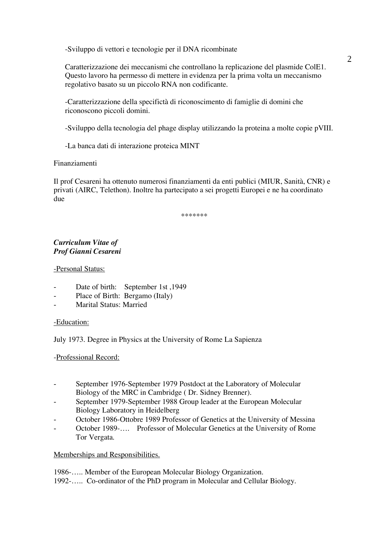-Sviluppo di vettori e tecnologie per il DNA ricombinate

Caratterizzazione dei meccanismi che controllano la replicazione del plasmide ColE1. Questo lavoro ha permesso di mettere in evidenza per la prima volta un meccanismo regolativo basato su un piccolo RNA non codificante.

-Caratterizzazione della specifictà di riconoscimento di famiglie di domini che riconoscono piccoli domini.

-Sviluppo della tecnologia del phage display utilizzando la proteina a molte copie pVIII.

-La banca dati di interazione proteica MINT

Finanziamenti

Il prof Cesareni ha ottenuto numerosi finanziamenti da enti publici (MIUR, Sanità, CNR) e privati (AIRC, Telethon). Inoltre ha partecipato a sei progetti Europei e ne ha coordinato due

\*\*\*\*\*\*\*

## *Curriculum Vitae of Prof Gianni Cesareni*

-Personal Status:

- Date of birth: September 1st, 1949
- Place of Birth: Bergamo (Italy)
- Marital Status: Married

-Education:

July 1973. Degree in Physics at the University of Rome La Sapienza

-Professional Record:

- September 1976-September 1979 Postdoct at the Laboratory of Molecular Biology of the MRC in Cambridge ( Dr. Sidney Brenner).
- September 1979-September 1988 Group leader at the European Molecular Biology Laboratory in Heidelberg
- October 1986-Ottobre 1989 Professor of Genetics at the University of Messina
- October 1989-.... Professor of Molecular Genetics at the University of Rome Tor Vergata.

## Memberships and Responsibilities.

1986-….. Member of the European Molecular Biology Organization. 1992-….. Co-ordinator of the PhD program in Molecular and Cellular Biology.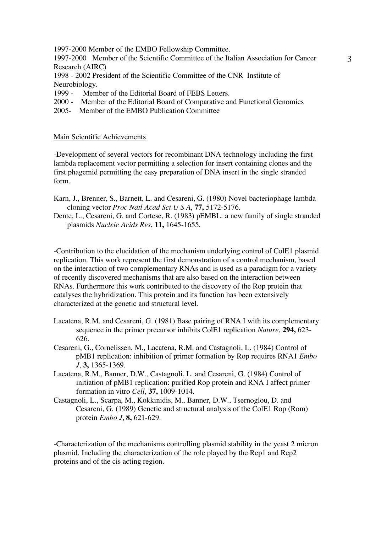1997-2000 Member of the EMBO Fellowship Committee.

1997-2000 Member of the Scientific Committee of the Italian Association for Cancer Research (AIRC)

1998 - 2002 President of the Scientific Committee of the CNR Institute of Neurobiology.

- 1999 Member of the Editorial Board of FEBS Letters.
- 2000 Member of the Editorial Board of Comparative and Functional Genomics
- 2005- Member of the EMBO Publication Committee

## Main Scientific Achievements

-Development of several vectors for recombinant DNA technology including the first lambda replacement vector permitting a selection for insert containing clones and the first phagemid permitting the easy preparation of DNA insert in the single stranded form.

Karn, J., Brenner, S., Barnett, L. and Cesareni, G. (1980) Novel bacteriophage lambda cloning vector *Proc Natl Acad Sci U S A*, **77,** 5172-5176.

Dente, L., Cesareni, G. and Cortese, R. (1983) pEMBL: a new family of single stranded plasmids *Nucleic Acids Res*, **11,** 1645-1655.

-Contribution to the elucidation of the mechanism underlying control of ColE1 plasmid replication. This work represent the first demonstration of a control mechanism, based on the interaction of two complementary RNAs and is used as a paradigm for a variety of recently discovered mechanisms that are also based on the interaction between RNAs. Furthermore this work contributed to the discovery of the Rop protein that catalyses the hybridization. This protein and its function has been extensively characterized at the genetic and structural level.

- Lacatena, R.M. and Cesareni, G. (1981) Base pairing of RNA I with its complementary sequence in the primer precursor inhibits ColE1 replication *Nature*, **294,** 623- 626.
- Cesareni, G., Cornelissen, M., Lacatena, R.M. and Castagnoli, L. (1984) Control of pMB1 replication: inhibition of primer formation by Rop requires RNA1 *Embo J*, **3,** 1365-1369.
- Lacatena, R.M., Banner, D.W., Castagnoli, L. and Cesareni, G. (1984) Control of initiation of pMB1 replication: purified Rop protein and RNA I affect primer formation in vitro *Cell*, **37,** 1009-1014.
- Castagnoli, L., Scarpa, M., Kokkinidis, M., Banner, D.W., Tsernoglou, D. and Cesareni, G. (1989) Genetic and structural analysis of the ColE1 Rop (Rom) protein *Embo J*, **8,** 621-629.

-Characterization of the mechanisms controlling plasmid stability in the yeast 2 micron plasmid. Including the characterization of the role played by the Rep1 and Rep2 proteins and of the cis acting region.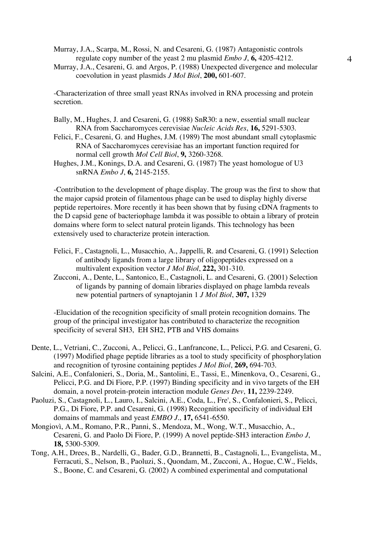Murray, J.A., Scarpa, M., Rossi, N. and Cesareni, G. (1987) Antagonistic controls regulate copy number of the yeast 2 mu plasmid *Embo J*, **6,** 4205-4212.

Murray, J.A., Cesareni, G. and Argos, P. (1988) Unexpected divergence and molecular coevolution in yeast plasmids *J Mol Biol*, **200,** 601-607.

-Characterization of three small yeast RNAs involved in RNA processing and protein secretion.

- Bally, M., Hughes, J. and Cesareni, G. (1988) SnR30: a new, essential small nuclear RNA from Saccharomyces cerevisiae *Nucleic Acids Res*, **16,** 5291-5303.
- Felici, F., Cesareni, G. and Hughes, J.M. (1989) The most abundant small cytoplasmic RNA of Saccharomyces cerevisiae has an important function required for normal cell growth *Mol Cell Biol*, **9,** 3260-3268.
- Hughes, J.M., Konings, D.A. and Cesareni, G. (1987) The yeast homologue of U3 snRNA *Embo J*, **6,** 2145-2155.

-Contribution to the development of phage display. The group was the first to show that the major capsid protein of filamentous phage can be used to display highly diverse peptide repertoires. More recently it has been shown that by fusing cDNA fragments to the D capsid gene of bacteriophage lambda it was possible to obtain a library of protein domains where form to select natural protein ligands. This technology has been extensively used to characterize protein interaction.

- Felici, F., Castagnoli, L., Musacchio, A., Jappelli, R. and Cesareni, G. (1991) Selection of antibody ligands from a large library of oligopeptides expressed on a multivalent exposition vector *J Mol Biol*, **222,** 301-310.
- Zucconi, A., Dente, L., Santonico, E., Castagnoli, L. and Cesareni, G. (2001) Selection of ligands by panning of domain libraries displayed on phage lambda reveals new potential partners of synaptojanin 1 *J Mol Biol*, **307,** 1329

-Elucidation of the recognition specificity of small protein recognition domains. The group of the principal investigator has contributed to characterize the recognition specificity of several SH3, EH SH2, PTB and VHS domains

- Dente, L., Vetriani, C., Zucconi, A., Pelicci, G., Lanfrancone, L., Pelicci, P.G. and Cesareni, G. (1997) Modified phage peptide libraries as a tool to study specificity of phosphorylation and recognition of tyrosine containing peptides *J Mol Biol*, **269,** 694-703.
- Salcini, A.E., Confalonieri, S., Doria, M., Santolini, E., Tassi, E., Minenkova, O., Cesareni, G., Pelicci, P.G. and Di Fiore, P.P. (1997) Binding specificity and in vivo targets of the EH domain, a novel protein-protein interaction module *Genes Dev*, **11,** 2239-2249.
- Paoluzi, S., Castagnoli, L., Lauro, I., Salcini, A.E., Coda, L., Fre', S., Confalonieri, S., Pelicci, P.G., Di Fiore, P.P. and Cesareni, G. (1998) Recognition specificity of individual EH domains of mammals and yeast *EMBO J.*, **17,** 6541-6550.
- Mongiovì, A.M., Romano, P.R., Panni, S., Mendoza, M., Wong, W.T., Musacchio, A., Cesareni, G. and Paolo Di Fiore, P. (1999) A novel peptide-SH3 interaction *Embo J*, **18,** 5300-5309.
- Tong, A.H., Drees, B., Nardelli, G., Bader, G.D., Brannetti, B., Castagnoli, L., Evangelista, M., Ferracuti, S., Nelson, B., Paoluzi, S., Quondam, M., Zucconi, A., Hogue, C.W., Fields, S., Boone, C. and Cesareni, G. (2002) A combined experimental and computational